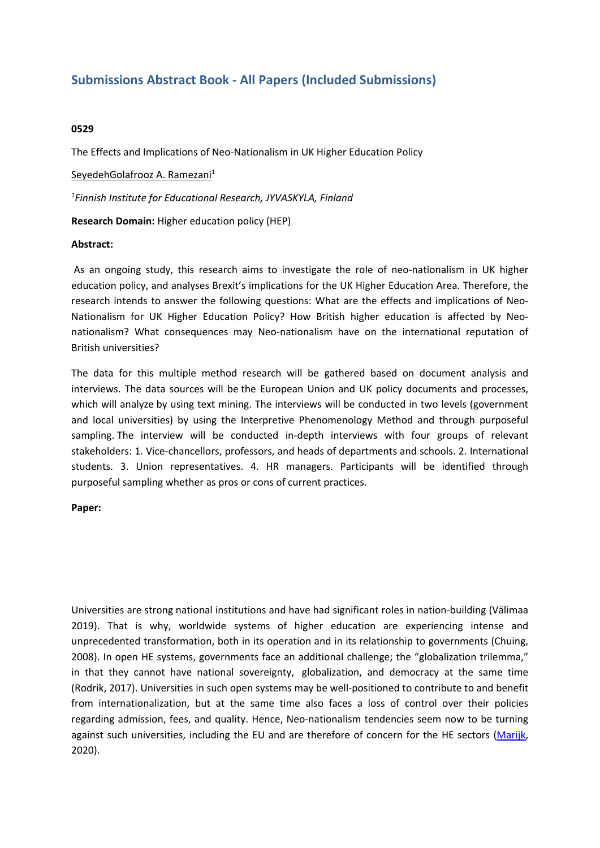# **Submissions Abstract Book - All Papers (Included Submissions)**

## **0529**

The Effects and Implications of Neo-Nationalism in UK Higher Education Policy

SeyedehGolafrooz A. Ramezani 1

*1 Finnish Institute for Educational Research, JYVASKYLA, Finland*

**Research Domain:** Higher education policy (HEP)

#### **Abstract:**

 As an ongoing study, this research aims to investigate the role of neo-nationalism in UK higher education policy, and analyses Brexit's implications for the UK Higher Education Area. Therefore, the research intends to answer the following questions: What are the effects and implications of Neo-Nationalism for UK Higher Education Policy? How British higher education is affected by Neonationalism? What consequences may Neo-nationalism have on the international reputation of British universities?

The data for this multiple method research will be gathered based on document analysis and interviews. The data sources will be the European Union and UK policy documents and processes, which will analyze by using text mining. The interviews will be conducted in two levels (government and local universities) by using the Interpretive Phenomenology Method and through purposeful sampling. The interview will be conducted in-depth interviews with four groups of relevant stakeholders: 1. Vice-chancellors, professors, and heads of departments and schools. 2. International students. 3. Union representatives. 4. HR managers. Participants will be identified through purposeful sampling whether as pros or cons of current practices.

#### **Paper:**

Universities are strong national institutions and have had significant roles in nation-building (Välimaa 2019). That is why, worldwide systems of higher education are experiencing intense and unprecedented transformation, both in its operation and in its relationship to governments (Chuing, 2008). In open HE systems, governments face an additional challenge; the "globalization trilemma," in that they cannot have national sovereignty, globalization, and democracy at the same time (Rodrik, 2017). Universities in such open systems may be well-positioned to contribute to and benefit from internationalization, but at the same time also faces <sup>a</sup> loss of control over their policies regarding admission, fees, and quality. Hence, Neo-nationalism tendencies seem now to be turning against such universities, including the EU and are therefore of concern for the HE sectors (Marijk, 2020).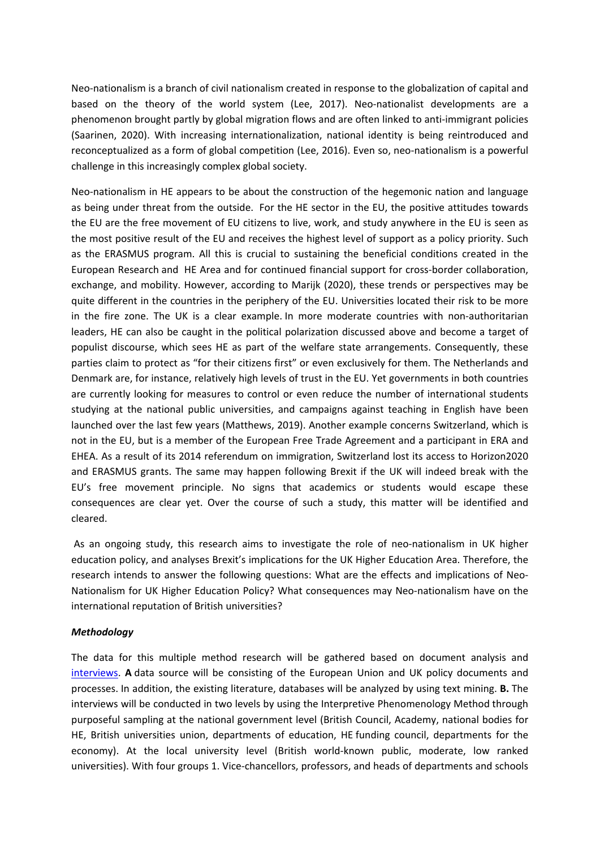Neo-nationalism is <sup>a</sup> branch of civil nationalism created in response to the globalization of capital and based on the theory of the world system (Lee, 2017). Neo-nationalist developments are <sup>a</sup> phenomenon brought partly by global migration flows and are often linked to anti-immigrant policies (Saarinen, 2020). With increasing internationalization, national identity is being reintroduced and reconceptualized as <sup>a</sup> form of global competition (Lee, 2016). Even so, neo-nationalism is <sup>a</sup> powerful challenge in this increasingly complex global society.

Neo-nationalism in HE appears to be about the construction of the hegemonic nation and language as being under threat from the outside. For the HE sector in the EU, the positive attitudes towards the EU are the free movement of EU citizens to live, work, and study anywhere in the EU is seen as the most positive result of the EU and receives the highest level of support as <sup>a</sup> policy priority. Such as the ERASMUS program. All this is crucial to sustaining the beneficial conditions created in the European Research and HE Area and for continued financial support for cross-border collaboration, exchange, and mobility. However, according to Marijk (2020), these trends or perspectives may be quite different in the countries in the periphery of the EU. Universities located their risk to be more in the fire zone. The UK is <sup>a</sup> clear example. In more moderate countries with non-authoritarian leaders, HE can also be caught in the political polarization discussed above and become <sup>a</sup> target of populist discourse, which sees HE as part of the welfare state arrangements. Consequently, these parties claim to protect as "for their citizens first" or even exclusively for them. The Netherlands and Denmark are, for instance, relatively high levels of trust in the EU. Yet governments in both countries are currently looking for measures to control or even reduce the number of international students studying at the national public universities, and campaigns against teaching in English have been launched over the last few years (Matthews, 2019). Another example concerns Switzerland, which is not in the EU, but is <sup>a</sup> member of the European Free Trade Agreement and <sup>a</sup> participant in ERA and EHEA. As <sup>a</sup> result of its 2014 referendum on immigration, Switzerland lost its access to Horizon2020 and ERASMUS grants. The same may happen following Brexit if the UK will indeed break with the EU's free movement principle. No signs that academics or students would escape these consequences are clear yet. Over the course of such <sup>a</sup> study, this matter will be identified and cleared.

 As an ongoing study, this research aims to investigate the role of neo-nationalism in UK higher education policy, and analyses Brexit's implications for the UK Higher Education Area. Therefore, the research intends to answer the following questions: What are the effects and implications of Neo-Nationalism for UK Higher Education Policy? What consequences may Neo-nationalism have on the international reputation of British universities?

#### *Methodology*

The data for this multiple method research will be gathered based on document analysis and interviews. **A** data source will be consisting of the European Union and UK policy documents and processes. In addition, the existing literature, databases will be analyzed by using text mining. **B.** The interviews will be conducted in two levels by using the Interpretive Phenomenology Method through purposeful sampling at the national government level (British Council, Academy, national bodies for HE, British universities union, departments of education, HE funding council, departments for the economy). At the local university level (British world-known public, moderate, low ranked universities). With four groups 1. Vice-chancellors, professors, and heads of departments and schools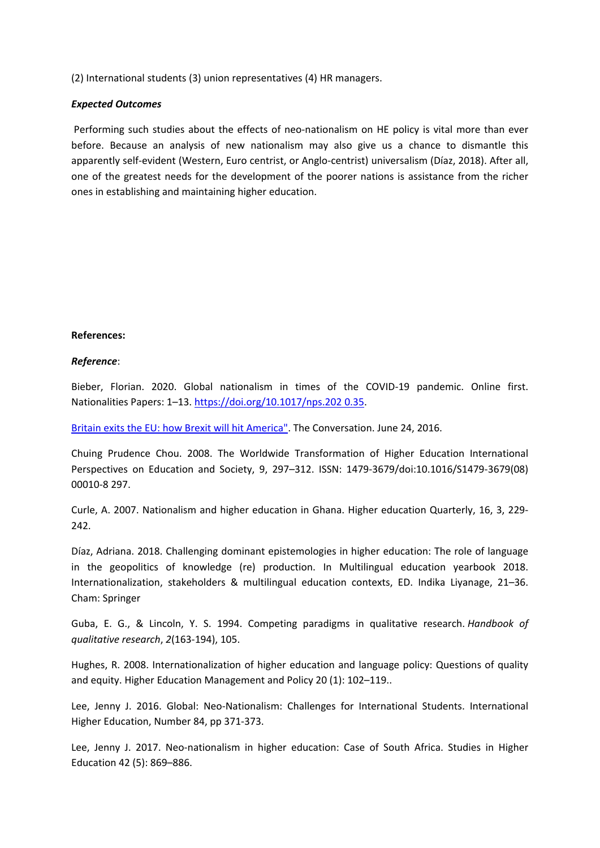(2) International students (3) union representatives (4) HR managers.

## *Expected Outcomes*

 Performing such studies about the effects of neo-nationalism on HE policy is vital more than ever before. Because an analysis of new nationalism may also give us <sup>a</sup> chance to dismantle this apparently self-evident (Western, Euro centrist, or Anglo-centrist) universalism (Díaz, 2018). After all, one of the greatest needs for the development of the poorer nations is assistance from the richer ones in establishing and maintaining higher education.

# **References:**

# *Reference*:

Bieber, Florian. 2020. Global nationalism in times of the COVID-19 pandemic. Online first. Nationalities Papers: 1–13. [https://doi.org/10.1017/nps.202](https://doi.org/10.1017/nps.202%200.35) 0.35.

Britain exits the EU: how Brexit will hit [America"](https://theconversation.com/britain-exits-the-eu-how-brexit-will-hit-america-61412). The Conversation. June 24, 2016.

Chuing Prudence Chou. 2008. The Worldwide Transformation of Higher Education International Perspectives on Education and Society, 9, 297–312. ISSN: 1479-3679/doi:10.1016/S1479-3679(08) 00010-8 297.

Curle, A. 2007. Nationalism and higher education in Ghana. Higher education Quarterly, 16, 3, 229- 242.

Díaz, Adriana. 2018. Challenging dominant epistemologies in higher education: The role of language in the geopolitics of knowledge (re) production. In Multilingual education yearbook 2018. Internationalization, stakeholders & multilingual education contexts, ED. Indika Liyanage, 21–36. Cham: Springer

Guba, E. G., & Lincoln, Y. S. 1994. Competing paradigms in qualitative research. *Handbook of qualitative research*, *2*(163-194), 105.

Hughes, R. 2008. Internationalization of higher education and language policy: Questions of quality and equity. Higher Education Management and Policy 20 (1): 102–119..

Lee, Jenny J. 2016. Global: Neo-Nationalism: Challenges for International Students. International Higher Education, Number 84, pp 371-373.

Lee, Jenny J. 2017. Neo-nationalism in higher education: Case of South Africa. Studies in Higher Education 42 (5): 869–886.